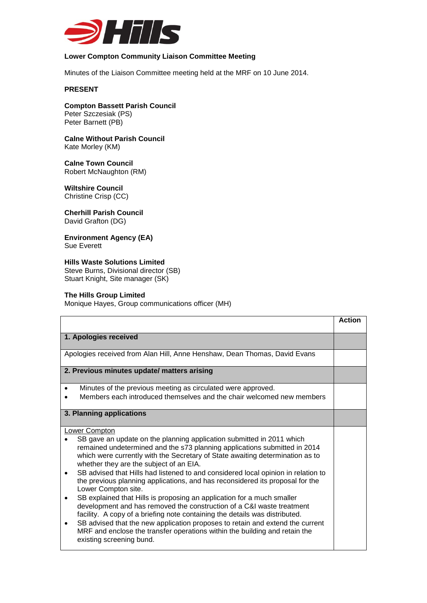

## **Lower Compton Community Liaison Committee Meeting**

Minutes of the Liaison Committee meeting held at the MRF on 10 June 2014.

## **PRESENT**

**Compton Bassett Parish Council** Peter Szczesiak (PS) Peter Barnett (PB)

**Calne Without Parish Council** Kate Morley (KM)

**Calne Town Council** Robert McNaughton (RM)

**Wiltshire Council** Christine Crisp (CC)

**Cherhill Parish Council**  David Grafton (DG)

**Environment Agency (EA)** Sue Everett

**Hills Waste Solutions Limited** Steve Burns, Divisional director (SB) Stuart Knight, Site manager (SK)

## **The Hills Group Limited**

Monique Hayes, Group communications officer (MH)

|                                                                                                                                                                                                                                                                                                                                                                                                                                                                                                                                                                                                                                                                                                                                                                                                                                                                                                                                                         | <b>Action</b> |
|---------------------------------------------------------------------------------------------------------------------------------------------------------------------------------------------------------------------------------------------------------------------------------------------------------------------------------------------------------------------------------------------------------------------------------------------------------------------------------------------------------------------------------------------------------------------------------------------------------------------------------------------------------------------------------------------------------------------------------------------------------------------------------------------------------------------------------------------------------------------------------------------------------------------------------------------------------|---------------|
| 1. Apologies received                                                                                                                                                                                                                                                                                                                                                                                                                                                                                                                                                                                                                                                                                                                                                                                                                                                                                                                                   |               |
| Apologies received from Alan Hill, Anne Henshaw, Dean Thomas, David Evans                                                                                                                                                                                                                                                                                                                                                                                                                                                                                                                                                                                                                                                                                                                                                                                                                                                                               |               |
| 2. Previous minutes update/ matters arising                                                                                                                                                                                                                                                                                                                                                                                                                                                                                                                                                                                                                                                                                                                                                                                                                                                                                                             |               |
| Minutes of the previous meeting as circulated were approved.<br>$\bullet$<br>Members each introduced themselves and the chair welcomed new members                                                                                                                                                                                                                                                                                                                                                                                                                                                                                                                                                                                                                                                                                                                                                                                                      |               |
| 3. Planning applications                                                                                                                                                                                                                                                                                                                                                                                                                                                                                                                                                                                                                                                                                                                                                                                                                                                                                                                                |               |
| <b>Lower Compton</b><br>SB gave an update on the planning application submitted in 2011 which<br>remained undetermined and the s73 planning applications submitted in 2014<br>which were currently with the Secretary of State awaiting determination as to<br>whether they are the subject of an EIA.<br>SB advised that Hills had listened to and considered local opinion in relation to<br>$\bullet$<br>the previous planning applications, and has reconsidered its proposal for the<br>Lower Compton site.<br>SB explained that Hills is proposing an application for a much smaller<br>٠<br>development and has removed the construction of a C&I waste treatment<br>facility. A copy of a briefing note containing the details was distributed.<br>SB advised that the new application proposes to retain and extend the current<br>٠<br>MRF and enclose the transfer operations within the building and retain the<br>existing screening bund. |               |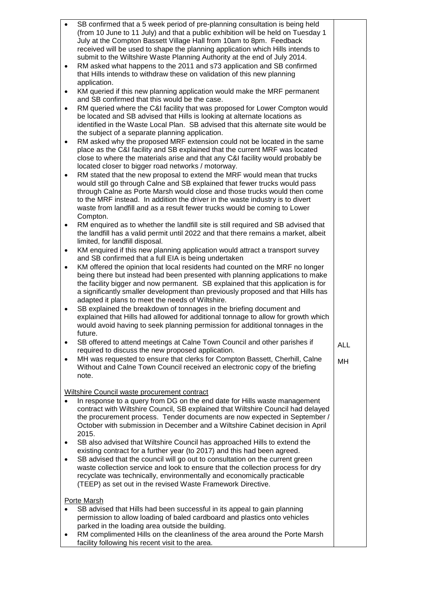| $\bullet$      | SB confirmed that a 5 week period of pre-planning consultation is being held<br>(from 10 June to 11 July) and that a public exhibition will be held on Tuesday 1<br>July at the Compton Bassett Village Hall from 10am to 8pm. Feedback<br>received will be used to shape the planning application which Hills intends to<br>submit to the Wiltshire Waste Planning Authority at the end of July 2014.                                                             |            |
|----------------|--------------------------------------------------------------------------------------------------------------------------------------------------------------------------------------------------------------------------------------------------------------------------------------------------------------------------------------------------------------------------------------------------------------------------------------------------------------------|------------|
| $\bullet$      | RM asked what happens to the 2011 and s73 application and SB confirmed<br>that Hills intends to withdraw these on validation of this new planning<br>application.                                                                                                                                                                                                                                                                                                  |            |
| ٠              | KM queried if this new planning application would make the MRF permanent<br>and SB confirmed that this would be the case.                                                                                                                                                                                                                                                                                                                                          |            |
| $\bullet$      | RM queried where the C&I facility that was proposed for Lower Compton would<br>be located and SB advised that Hills is looking at alternate locations as<br>identified in the Waste Local Plan. SB advised that this alternate site would be<br>the subject of a separate planning application.                                                                                                                                                                    |            |
| $\bullet$      | RM asked why the proposed MRF extension could not be located in the same<br>place as the C&I facility and SB explained that the current MRF was located<br>close to where the materials arise and that any C&I facility would probably be<br>located closer to bigger road networks / motorway.                                                                                                                                                                    |            |
| $\bullet$      | RM stated that the new proposal to extend the MRF would mean that trucks<br>would still go through Calne and SB explained that fewer trucks would pass<br>through Calne as Porte Marsh would close and those trucks would then come<br>to the MRF instead. In addition the driver in the waste industry is to divert<br>waste from landfill and as a result fewer trucks would be coming to Lower<br>Compton.                                                      |            |
| $\bullet$      | RM enquired as to whether the landfill site is still required and SB advised that<br>the landfill has a valid permit until 2022 and that there remains a market, albeit<br>limited, for landfill disposal.                                                                                                                                                                                                                                                         |            |
| ٠              | KM enquired if this new planning application would attract a transport survey<br>and SB confirmed that a full EIA is being undertaken                                                                                                                                                                                                                                                                                                                              |            |
| ٠              | KM offered the opinion that local residents had counted on the MRF no longer<br>being there but instead had been presented with planning applications to make<br>the facility bigger and now permanent. SB explained that this application is for<br>a significantly smaller development than previously proposed and that Hills has<br>adapted it plans to meet the needs of Wiltshire.                                                                           |            |
| $\bullet$      | SB explained the breakdown of tonnages in the briefing document and<br>explained that Hills had allowed for additional tonnage to allow for growth which<br>would avoid having to seek planning permission for additional tonnages in the<br>future.                                                                                                                                                                                                               |            |
| $\bullet$      | SB offered to attend meetings at Calne Town Council and other parishes if<br>required to discuss the new proposed application.                                                                                                                                                                                                                                                                                                                                     | <b>ALL</b> |
| $\bullet$      | MH was requested to ensure that clerks for Compton Bassett, Cherhill, Calne<br>Without and Calne Town Council received an electronic copy of the briefing<br>note.                                                                                                                                                                                                                                                                                                 | MH         |
|                | Wiltshire Council waste procurement contract                                                                                                                                                                                                                                                                                                                                                                                                                       |            |
|                | In response to a query from DG on the end date for Hills waste management<br>contract with Wiltshire Council, SB explained that Wiltshire Council had delayed<br>the procurement process. Tender documents are now expected in September /<br>October with submission in December and a Wiltshire Cabinet decision in April<br>2015.                                                                                                                               |            |
| ٠<br>$\bullet$ | SB also advised that Wiltshire Council has approached Hills to extend the<br>existing contract for a further year (to 2017) and this had been agreed.<br>SB advised that the council will go out to consultation on the current green<br>waste collection service and look to ensure that the collection process for dry<br>recyclate was technically, environmentally and economically practicable<br>(TEEP) as set out in the revised Waste Framework Directive. |            |
| $\bullet$      | <b>Porte Marsh</b><br>SB advised that Hills had been successful in its appeal to gain planning<br>permission to allow loading of baled cardboard and plastics onto vehicles<br>parked in the loading area outside the building.<br>RM complimented Hills on the cleanliness of the area around the Porte Marsh<br>facility following his recent visit to the area.                                                                                                 |            |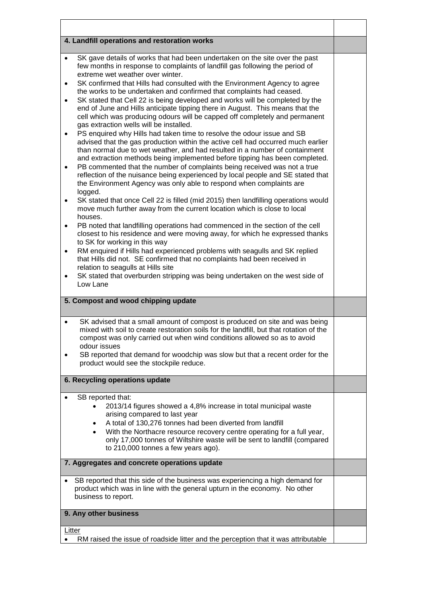| 4. Landfill operations and restoration works                                                                                                                                                                                                                                                                                                                                                                                                                                                                                                                                                                                                                                                                                                                                                                                                                                                                                                                                                                                                                                                                                                                                                                                                                                                                                                                                                                                                                                                                                                                                   |  |
|--------------------------------------------------------------------------------------------------------------------------------------------------------------------------------------------------------------------------------------------------------------------------------------------------------------------------------------------------------------------------------------------------------------------------------------------------------------------------------------------------------------------------------------------------------------------------------------------------------------------------------------------------------------------------------------------------------------------------------------------------------------------------------------------------------------------------------------------------------------------------------------------------------------------------------------------------------------------------------------------------------------------------------------------------------------------------------------------------------------------------------------------------------------------------------------------------------------------------------------------------------------------------------------------------------------------------------------------------------------------------------------------------------------------------------------------------------------------------------------------------------------------------------------------------------------------------------|--|
| SK gave details of works that had been undertaken on the site over the past<br>$\bullet$<br>few months in response to complaints of landfill gas following the period of<br>extreme wet weather over winter.<br>SK confirmed that Hills had consulted with the Environment Agency to agree<br>$\bullet$<br>the works to be undertaken and confirmed that complaints had ceased.<br>SK stated that Cell 22 is being developed and works will be completed by the<br>$\bullet$<br>end of June and Hills anticipate tipping there in August. This means that the<br>cell which was producing odours will be capped off completely and permanent<br>gas extraction wells will be installed.<br>PS enquired why Hills had taken time to resolve the odour issue and SB<br>$\bullet$<br>advised that the gas production within the active cell had occurred much earlier<br>than normal due to wet weather, and had resulted in a number of containment<br>and extraction methods being implemented before tipping has been completed.<br>PB commented that the number of complaints being received was not a true<br>٠<br>reflection of the nuisance being experienced by local people and SE stated that<br>the Environment Agency was only able to respond when complaints are<br>logged.<br>SK stated that once Cell 22 is filled (mid 2015) then landfilling operations would<br>$\bullet$<br>move much further away from the current location which is close to local<br>houses.<br>PB noted that landfilling operations had commenced in the section of the cell<br>$\bullet$ |  |
| closest to his residence and were moving away, for which he expressed thanks<br>to SK for working in this way<br>RM enquired if Hills had experienced problems with seagulls and SK replied<br>$\bullet$<br>that Hills did not. SE confirmed that no complaints had been received in<br>relation to seagulls at Hills site<br>SK stated that overburden stripping was being undertaken on the west side of<br>$\bullet$<br>Low Lane                                                                                                                                                                                                                                                                                                                                                                                                                                                                                                                                                                                                                                                                                                                                                                                                                                                                                                                                                                                                                                                                                                                                            |  |
| 5. Compost and wood chipping update                                                                                                                                                                                                                                                                                                                                                                                                                                                                                                                                                                                                                                                                                                                                                                                                                                                                                                                                                                                                                                                                                                                                                                                                                                                                                                                                                                                                                                                                                                                                            |  |
| SK advised that a small amount of compost is produced on site and was being<br>$\bullet$<br>mixed with soil to create restoration soils for the landfill, but that rotation of the<br>compost was only carried out when wind conditions allowed so as to avoid<br>odour issues<br>SB reported that demand for woodchip was slow but that a recent order for the<br>product would see the stockpile reduce.                                                                                                                                                                                                                                                                                                                                                                                                                                                                                                                                                                                                                                                                                                                                                                                                                                                                                                                                                                                                                                                                                                                                                                     |  |
| 6. Recycling operations update                                                                                                                                                                                                                                                                                                                                                                                                                                                                                                                                                                                                                                                                                                                                                                                                                                                                                                                                                                                                                                                                                                                                                                                                                                                                                                                                                                                                                                                                                                                                                 |  |
| SB reported that:<br>2013/14 figures showed a 4,8% increase in total municipal waste<br>arising compared to last year<br>A total of 130,276 tonnes had been diverted from landfill<br>$\bullet$<br>With the Northacre resource recovery centre operating for a full year,<br>$\bullet$<br>only 17,000 tonnes of Wiltshire waste will be sent to landfill (compared<br>to 210,000 tonnes a few years ago).                                                                                                                                                                                                                                                                                                                                                                                                                                                                                                                                                                                                                                                                                                                                                                                                                                                                                                                                                                                                                                                                                                                                                                      |  |
| 7. Aggregates and concrete operations update                                                                                                                                                                                                                                                                                                                                                                                                                                                                                                                                                                                                                                                                                                                                                                                                                                                                                                                                                                                                                                                                                                                                                                                                                                                                                                                                                                                                                                                                                                                                   |  |
| SB reported that this side of the business was experiencing a high demand for<br>$\bullet$<br>product which was in line with the general upturn in the economy. No other<br>business to report.                                                                                                                                                                                                                                                                                                                                                                                                                                                                                                                                                                                                                                                                                                                                                                                                                                                                                                                                                                                                                                                                                                                                                                                                                                                                                                                                                                                |  |
| 9. Any other business                                                                                                                                                                                                                                                                                                                                                                                                                                                                                                                                                                                                                                                                                                                                                                                                                                                                                                                                                                                                                                                                                                                                                                                                                                                                                                                                                                                                                                                                                                                                                          |  |
| <b>Litter</b><br>RM raised the issue of roadside litter and the perception that it was attributable                                                                                                                                                                                                                                                                                                                                                                                                                                                                                                                                                                                                                                                                                                                                                                                                                                                                                                                                                                                                                                                                                                                                                                                                                                                                                                                                                                                                                                                                            |  |